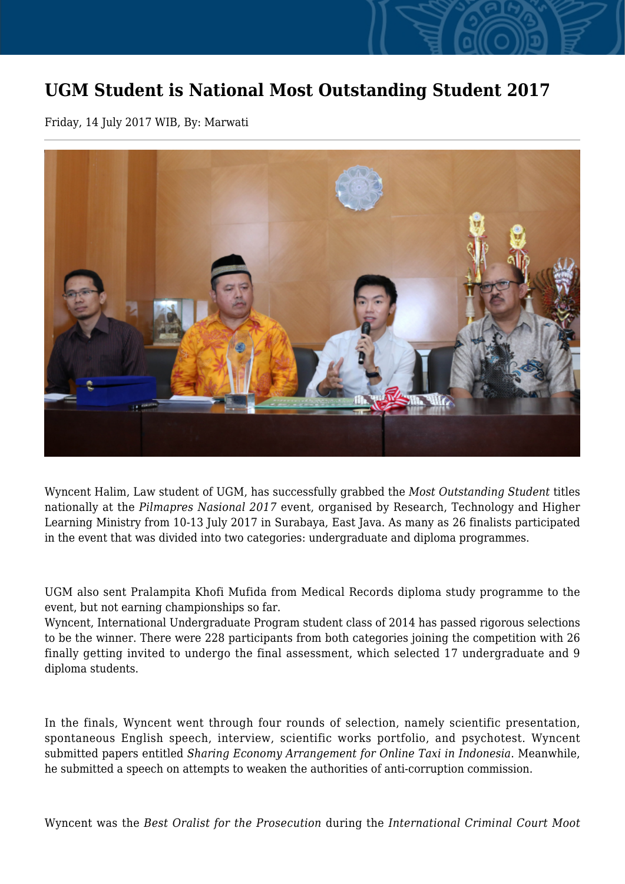## **UGM Student is National Most Outstanding Student 2017**

Friday, 14 July 2017 WIB, By: Marwati



Wyncent Halim, Law student of UGM, has successfully grabbed the *Most Outstanding Student* titles nationally at the *Pilmapres Nasional 2017* event, organised by Research, Technology and Higher Learning Ministry from 10-13 July 2017 in Surabaya, East Java. As many as 26 finalists participated in the event that was divided into two categories: undergraduate and diploma programmes.

UGM also sent Pralampita Khofi Mufida from Medical Records diploma study programme to the event, but not earning championships so far.

Wyncent, International Undergraduate Program student class of 2014 has passed rigorous selections to be the winner. There were 228 participants from both categories joining the competition with 26 finally getting invited to undergo the final assessment, which selected 17 undergraduate and 9 diploma students.

In the finals, Wyncent went through four rounds of selection, namely scientific presentation, spontaneous English speech, interview, scientific works portfolio, and psychotest. Wyncent submitted papers entitled *Sharing Economy Arrangement for Online Taxi in Indonesia*. Meanwhile, he submitted a speech on attempts to weaken the authorities of anti-corruption commission.

Wyncent was the *Best Oralist for the Prosecution* during the *International Criminal Court Moot*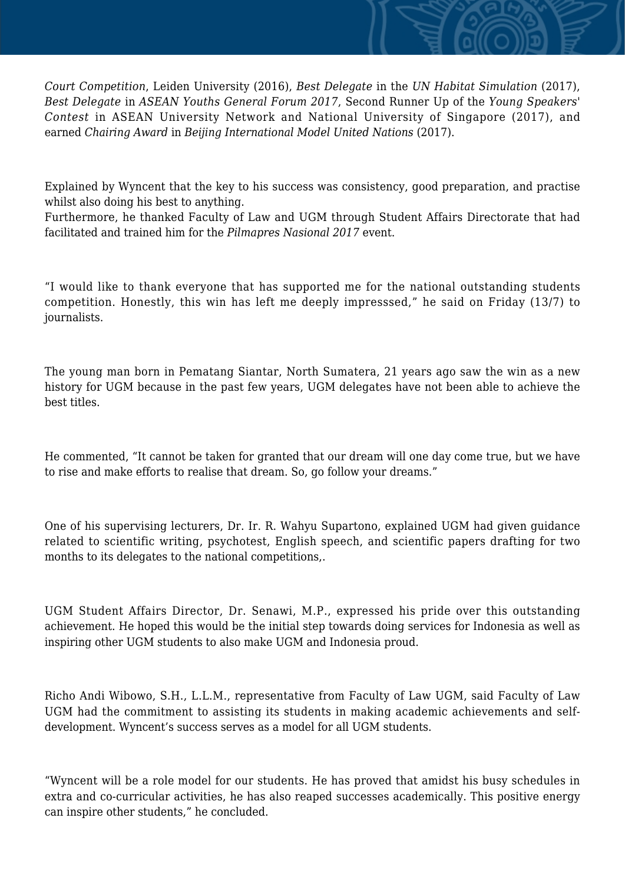*Court Competition*, Leiden University (2016), *Best Delegate* in the *UN Habitat Simulation* (2017), *Best Delegate* in *ASEAN Youths General Forum 2017*, Second Runner Up of the *Young Speakers' Contest* in ASEAN University Network and National University of Singapore (2017), and earned *Chairing Award* in *Beijing International Model United Nations* (2017).

Explained by Wyncent that the key to his success was consistency, good preparation, and practise whilst also doing his best to anything.

Furthermore, he thanked Faculty of Law and UGM through Student Affairs Directorate that had facilitated and trained him for the *Pilmapres Nasional 2017* event.

"I would like to thank everyone that has supported me for the national outstanding students competition. Honestly, this win has left me deeply impresssed," he said on Friday (13/7) to journalists.

The young man born in Pematang Siantar, North Sumatera, 21 years ago saw the win as a new history for UGM because in the past few years, UGM delegates have not been able to achieve the best titles.

He commented, "It cannot be taken for granted that our dream will one day come true, but we have to rise and make efforts to realise that dream. So, go follow your dreams."

One of his supervising lecturers, Dr. Ir. R. Wahyu Supartono, explained UGM had given guidance related to scientific writing, psychotest, English speech, and scientific papers drafting for two months to its delegates to the national competitions,.

UGM Student Affairs Director, Dr. Senawi, M.P., expressed his pride over this outstanding achievement. He hoped this would be the initial step towards doing services for Indonesia as well as inspiring other UGM students to also make UGM and Indonesia proud.

Richo Andi Wibowo, S.H., L.L.M., representative from Faculty of Law UGM, said Faculty of Law UGM had the commitment to assisting its students in making academic achievements and selfdevelopment. Wyncent's success serves as a model for all UGM students.

"Wyncent will be a role model for our students. He has proved that amidst his busy schedules in extra and co-curricular activities, he has also reaped successes academically. This positive energy can inspire other students," he concluded.